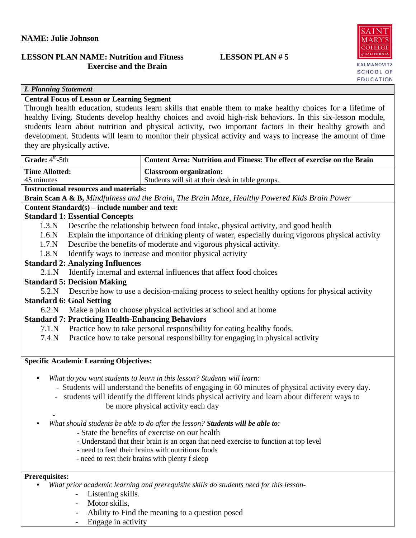### **NAME: Julie Johnson**

# **LESSON PLAN NAME: Nutrition and Fitness LESSON PLAN # 5 Exercise and the Brain**



#### *I. Planning Statement*

# **Central Focus of Lesson or Learning Segment**

Through health education, students learn skills that enable them to make healthy choices for a lifetime of healthy living. Students develop healthy choices and avoid high-risk behaviors. In this six-lesson module, students learn about nutrition and physical activity, two important factors in their healthy growth and development. Students will learn to monitor their physical activity and ways to increase the amount of time they are physically active.

| Grade: 4 <sup>th</sup> -5th                                                                                 | Content Area: Nutrition and Fitness: The effect of exercise on the Brain                         |  |  |  |
|-------------------------------------------------------------------------------------------------------------|--------------------------------------------------------------------------------------------------|--|--|--|
| <b>Time Allotted:</b>                                                                                       | <b>Classroom organization:</b>                                                                   |  |  |  |
| 45 minutes                                                                                                  | Students will sit at their desk in table groups.                                                 |  |  |  |
| <b>Instructional resources and materials:</b>                                                               |                                                                                                  |  |  |  |
| <b>Brain Scan A &amp; B, Mindfulness and the Brain, The Brain Maze, Healthy Powered Kids Brain Power</b>    |                                                                                                  |  |  |  |
| Content Standard(s) – include number and text:                                                              |                                                                                                  |  |  |  |
| <b>Standard 1: Essential Concepts</b>                                                                       |                                                                                                  |  |  |  |
| 1.3.N                                                                                                       | Describe the relationship between food intake, physical activity, and good health                |  |  |  |
| 1.6N                                                                                                        | Explain the importance of drinking plenty of water, especially during vigorous physical activity |  |  |  |
| 1.7 <sub>N</sub>                                                                                            | Describe the benefits of moderate and vigorous physical activity.                                |  |  |  |
| 1.8.N                                                                                                       | Identify ways to increase and monitor physical activity                                          |  |  |  |
| <b>Standard 2: Analyzing Influences</b>                                                                     |                                                                                                  |  |  |  |
| 2.1.N                                                                                                       | Identify internal and external influences that affect food choices                               |  |  |  |
| <b>Standard 5: Decision Making</b>                                                                          |                                                                                                  |  |  |  |
| 5.2.N                                                                                                       | Describe how to use a decision-making process to select healthy options for physical activity    |  |  |  |
| <b>Standard 6: Goal Setting</b>                                                                             |                                                                                                  |  |  |  |
| Make a plan to choose physical activities at school and at home<br>6.2.N                                    |                                                                                                  |  |  |  |
| <b>Standard 7: Practicing Health-Enhancing Behaviors</b>                                                    |                                                                                                  |  |  |  |
| 7.1 <sub>N</sub>                                                                                            | Practice how to take personal responsibility for eating healthy foods.                           |  |  |  |
| 7.4N                                                                                                        | Practice how to take personal responsibility for engaging in physical activity                   |  |  |  |
| <b>Specific Academic Learning Objectives:</b>                                                               |                                                                                                  |  |  |  |
| $\bullet$                                                                                                   | What do you want students to learn in this lesson? Students will learn:                          |  |  |  |
| - Students will understand the benefits of engaging in 60 minutes of physical activity every day.           |                                                                                                  |  |  |  |
| - students will identify the different kinds physical activity and learn about different ways to            |                                                                                                  |  |  |  |
|                                                                                                             | be more physical activity each day                                                               |  |  |  |
| What should students be able to do after the lesson? Students will be able to:<br>$\bullet$                 |                                                                                                  |  |  |  |
| - State the benefits of exercise on our health                                                              |                                                                                                  |  |  |  |
| - Understand that their brain is an organ that need exercise to function at top level                       |                                                                                                  |  |  |  |
|                                                                                                             | - need to feed their brains with nutritious foods                                                |  |  |  |
|                                                                                                             | - need to rest their brains with plenty f sleep                                                  |  |  |  |
|                                                                                                             |                                                                                                  |  |  |  |
| <b>Prerequisites:</b>                                                                                       |                                                                                                  |  |  |  |
| What prior academic learning and prerequisite skills do students need for this lesson-<br>Listening skills. |                                                                                                  |  |  |  |
| Motor skills,                                                                                               |                                                                                                  |  |  |  |
|                                                                                                             | Ability to Find the meaning to a question posed                                                  |  |  |  |

- Engage in activity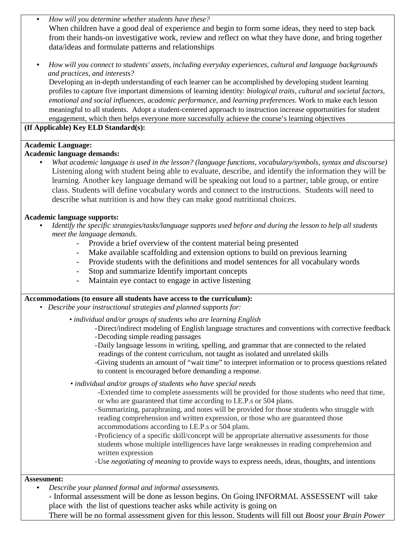- *How will you determine whether students have these?* When children have a good deal of experience and begin to form some ideas, they need to step back from their hands-on investigative work, review and reflect on what they have done, and bring together data/ideas and formulate patterns and relationships
- *How will you connect to students' assets, including everyday experiences, cultural and language backgrounds and practices, and interests?*

Developing an in-depth understanding of each learner can be accomplished by developing student learning profiles to capture five important dimensions of learning identity: *biological traits, cultural and societal factors, emotional and social influences, academic performance*, and *learning preferences*. Work to make each lesson meaningful to all students. Adopt a student-centered approach to instruction increase opportunities for student engagement, which then helps everyone more successfully achieve the course's learning objectives

**(If Applicable) Key ELD Standard(s):**

## **Academic Language:**

#### **Academic language demands:**

• *What academic language is used in the lesson? (language functions, vocabulary/symbols, syntax and discourse)* Listening along with student being able to evaluate, describe, and identify the information they will be learning. Another key language demand will be speaking out loud to a partner, table group, or entire class. Students will define vocabulary words and connect to the instructions. Students will need to describe what nutrition is and how they can make good nutritional choices.

### **Academic language supports:**

- *Identify the specific strategies/tasks/language supports used before and during the lesson to help all students meet the language demands.* 
	- Provide a brief overview of the content material being presented
	- Make available scaffolding and extension options to build on previous learning
	- Provide students with the definitions and model sentences for all vocabulary words
	- Stop and summarize Identify important concepts
	- Maintain eye contact to engage in active listening

#### **Accommodations (to ensure all students have access to the curriculum):**

- *Describe your instructional strategies and planned supports for:*
	- *individual and/or groups of students who are learning English*
		- -Direct/indirect modeling of English language structures and conventions with corrective feedback
		- -Decoding simple reading passages
		- -Daily language lessons in writing, spelling, and grammar that are connected to the related readings of the content curriculum, not taught as isolated and unrelated skills
		- -Giving students an amount of "wait time" to interpret information or to process questions related to content is encouraged before demanding a response.
	- *individual and/or groups of students who have special needs*
		- -Extended time to complete assessments will be provided for those students who need that time, or who are guaranteed that time according to I.E.P.s or 504 plans.
		- -Summarizing, paraphrasing, and notes will be provided for those students who struggle with reading comprehension and written expression, or those who are guaranteed those accommodations according to I.E.P.s or 504 plans.
		- -Proficiency of a specific skill/concept will be appropriate alternative assessments for those students whose multiple intelligences have large weaknesses in reading comprehension and written expression
		- -Use *negotiating of meaning* to provide ways to express needs, ideas, thoughts, and intentions

#### **Assessment:**

- *Describe your planned formal and informal assessments.*
	- *-* Informal assessment will be done as lesson begins. On Going INFORMAL ASSESSENT will take place with the list of questions teacher asks while activity is going on

There will be no formal assessment given for this lesson. Students will fill out *Boost your Brain Power*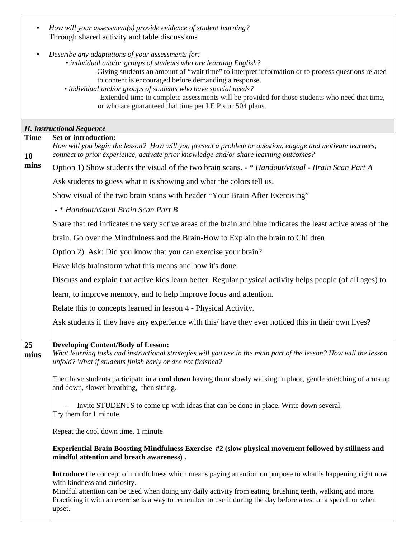| $\bullet$                 | How will your assessment(s) provide evidence of student learning?<br>Through shared activity and table discussions                                                                                                                                                                                                                                                                                                                                                                                                    |
|---------------------------|-----------------------------------------------------------------------------------------------------------------------------------------------------------------------------------------------------------------------------------------------------------------------------------------------------------------------------------------------------------------------------------------------------------------------------------------------------------------------------------------------------------------------|
| $\bullet$                 | Describe any adaptations of your assessments for:<br>• individual and/or groups of students who are learning English?<br>-Giving students an amount of "wait time" to interpret information or to process questions related<br>to content is encouraged before demanding a response.<br>• individual and/or groups of students who have special needs?<br>-Extended time to complete assessments will be provided for those students who need that time,<br>or who are guaranteed that time per I.E.P.s or 504 plans. |
|                           | <b>II. Instructional Sequence</b>                                                                                                                                                                                                                                                                                                                                                                                                                                                                                     |
| <b>Time</b><br>10<br>mins | Set or introduction:<br>How will you begin the lesson? How will you present a problem or question, engage and motivate learners,<br>connect to prior experience, activate prior knowledge and/or share learning outcomes?<br>Option 1) Show students the visual of the two brain scans. - * Handout/visual - Brain Scan Part A                                                                                                                                                                                        |
|                           | Ask students to guess what it is showing and what the colors tell us.                                                                                                                                                                                                                                                                                                                                                                                                                                                 |
|                           | Show visual of the two brain scans with header "Your Brain After Exercising"                                                                                                                                                                                                                                                                                                                                                                                                                                          |
|                           | - * Handout/visual Brain Scan Part B                                                                                                                                                                                                                                                                                                                                                                                                                                                                                  |
|                           | Share that red indicates the very active areas of the brain and blue indicates the least active areas of the                                                                                                                                                                                                                                                                                                                                                                                                          |
|                           | brain. Go over the Mindfulness and the Brain-How to Explain the brain to Children                                                                                                                                                                                                                                                                                                                                                                                                                                     |
|                           | Option 2) Ask: Did you know that you can exercise your brain?                                                                                                                                                                                                                                                                                                                                                                                                                                                         |
|                           | Have kids brainstorm what this means and how it's done.                                                                                                                                                                                                                                                                                                                                                                                                                                                               |
|                           | Discuss and explain that active kids learn better. Regular physical activity helps people (of all ages) to                                                                                                                                                                                                                                                                                                                                                                                                            |
|                           | learn, to improve memory, and to help improve focus and attention.                                                                                                                                                                                                                                                                                                                                                                                                                                                    |

Relate this to concepts learned in lesson 4 - Physical Activity.

Ask students if they have any experience with this/ have they ever noticed this in their own lives?

**25 Developing Content/Body of Lesson:** 

**mins** *What learning tasks and instructional strategies will you use in the main part of the lesson? How will the lesson unfold? What if students finish early or are not finished?*

Then have students participate in a **cool down** having them slowly walking in place, gentle stretching of arms up and down, slower breathing, then sitting.

− Invite STUDENTS to come up with ideas that can be done in place. Write down several. Try them for 1 minute.

Repeat the cool down time. 1 minute

**Experiential Brain Boosting Mindfulness Exercise #2 (slow physical movement followed by stillness and mindful attention and breath awareness) .**

**Introduce** the concept of mindfulness which means paying attention on purpose to what is happening right now with kindness and curiosity.

Mindful attention can be used when doing any daily activity from eating, brushing teeth, walking and more. Practicing it with an exercise is a way to remember to use it during the day before a test or a speech or when upset.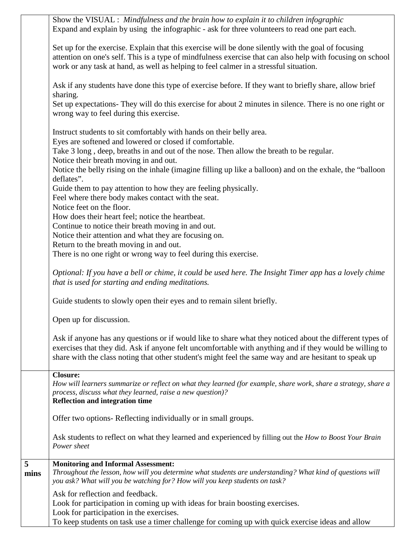|                                   | Show the VISUAL : Mindfulness and the brain how to explain it to children infographic<br>Expand and explain by using the infographic - ask for three volunteers to read one part each.                                                                                                                                       |
|-----------------------------------|------------------------------------------------------------------------------------------------------------------------------------------------------------------------------------------------------------------------------------------------------------------------------------------------------------------------------|
|                                   | Set up for the exercise. Explain that this exercise will be done silently with the goal of focusing<br>attention on one's self. This is a type of mindfulness exercise that can also help with focusing on school<br>work or any task at hand, as well as helping to feel calmer in a stressful situation.                   |
|                                   | Ask if any students have done this type of exercise before. If they want to briefly share, allow brief<br>sharing.                                                                                                                                                                                                           |
|                                   | Set up expectations- They will do this exercise for about 2 minutes in silence. There is no one right or<br>wrong way to feel during this exercise.                                                                                                                                                                          |
|                                   | Instruct students to sit comfortably with hands on their belly area.<br>Eyes are softened and lowered or closed if comfortable.                                                                                                                                                                                              |
|                                   | Take 3 long, deep, breaths in and out of the nose. Then allow the breath to be regular.<br>Notice their breath moving in and out.                                                                                                                                                                                            |
|                                   | Notice the belly rising on the inhale (imagine filling up like a balloon) and on the exhale, the "balloon<br>deflates".                                                                                                                                                                                                      |
|                                   | Guide them to pay attention to how they are feeling physically.<br>Feel where there body makes contact with the seat.                                                                                                                                                                                                        |
|                                   | Notice feet on the floor.<br>How does their heart feel; notice the heartbeat.                                                                                                                                                                                                                                                |
|                                   | Continue to notice their breath moving in and out.                                                                                                                                                                                                                                                                           |
|                                   | Notice their attention and what they are focusing on.                                                                                                                                                                                                                                                                        |
|                                   | Return to the breath moving in and out.<br>There is no one right or wrong way to feel during this exercise.                                                                                                                                                                                                                  |
|                                   | Optional: If you have a bell or chime, it could be used here. The Insight Timer app has a lovely chime<br>that is used for starting and ending meditations.                                                                                                                                                                  |
|                                   | Guide students to slowly open their eyes and to remain silent briefly.                                                                                                                                                                                                                                                       |
|                                   | Open up for discussion.                                                                                                                                                                                                                                                                                                      |
|                                   | Ask if anyone has any questions or if would like to share what they noticed about the different types of<br>exercises that they did. Ask if anyone felt uncomfortable with anything and if they would be willing to<br>share with the class noting that other student's might feel the same way and are hesitant to speak up |
|                                   | <b>Closure:</b><br>How will learners summarize or reflect on what they learned (for example, share work, share a strategy, share a<br>process, discuss what they learned, raise a new question)?<br><b>Reflection and integration time</b>                                                                                   |
|                                   | Offer two options- Reflecting individually or in small groups.                                                                                                                                                                                                                                                               |
|                                   | Ask students to reflect on what they learned and experienced by filling out the How to Boost Your Brain<br>Power sheet                                                                                                                                                                                                       |
| $\overline{\overline{5}}$<br>mins | <b>Monitoring and Informal Assessment:</b><br>Throughout the lesson, how will you determine what students are understanding? What kind of questions will<br>you ask? What will you be watching for? How will you keep students on task?                                                                                      |
|                                   | Ask for reflection and feedback.<br>Look for participation in coming up with ideas for brain boosting exercises.<br>Look for participation in the exercises.<br>To keep students on task use a timer challenge for coming up with quick exercise ideas and allow                                                             |